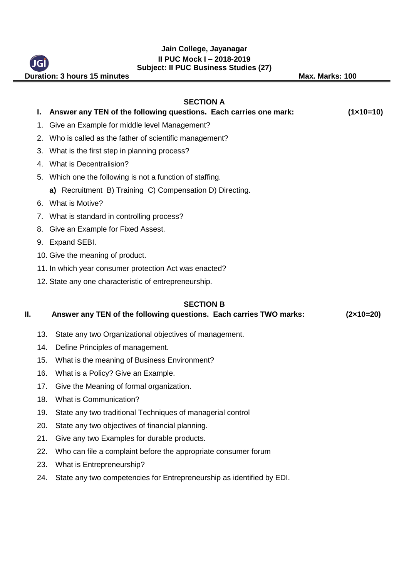#### **Jain College, Jayanagar II PUC Mock I – 2018-2019 Subject: II PUC Business Studies (27)**

**Duration: 3 hours 15 minutes May be a set of the Max. Marks: 100** 

# **SECTION A I. Answer any TEN of the following questions. Each carries one mark: (1×10=10)** 1. Give an Example for middle level Management? 2. Who is called as the father of scientific management? 3. What is the first step in planning process? 4. What is Decentralision? 5. Which one the following is not a function of staffing. **a)** Recruitment B) Training C) Compensation D) Directing. 6. What is Motive? 7. What is standard in controlling process? 8. Give an Example for Fixed Assest. 9. Expand SEBI. 10. Give the meaning of product. 11. In which year consumer protection Act was enacted? 12. State any one characteristic of entrepreneurship. **SECTION B II. Answer any TEN of the following questions. Each carries TWO marks: (2×10=20)** 13. State any two Organizational objectives of management. 14. Define Principles of management.

- 15. What is the meaning of Business Environment?
- 16. What is a Policy? Give an Example.
- 17. Give the Meaning of formal organization.
- 18. What is Communication?
- 19. State any two traditional Techniques of managerial control
- 20. State any two objectives of financial planning.
- 21. Give any two Examples for durable products.
- 22. Who can file a complaint before the appropriate consumer forum
- 23. What is Entrepreneurship?
- 24. State any two competencies for Entrepreneurship as identified by EDI.